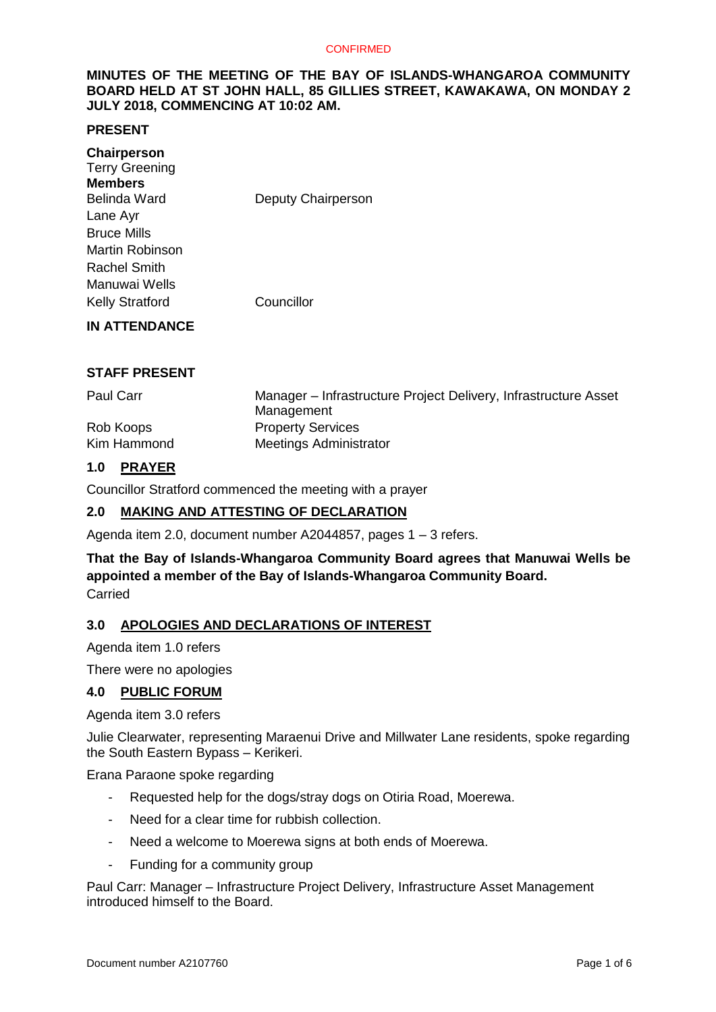## **MINUTES OF THE MEETING OF THE BAY OF ISLANDS-WHANGAROA COMMUNITY BOARD HELD AT ST JOHN HALL, 85 GILLIES STREET, KAWAKAWA, ON MONDAY 2 JULY 2018, COMMENCING AT 10:02 AM.**

## **PRESENT**

| Chairperson<br><b>Terry Greening</b><br><b>Members</b><br>Belinda Ward | Deputy Chairperson |
|------------------------------------------------------------------------|--------------------|
|                                                                        |                    |
| Lane Ayr                                                               |                    |
| <b>Bruce Mills</b>                                                     |                    |
| Martin Robinson                                                        |                    |
| <b>Rachel Smith</b>                                                    |                    |
| Manuwai Wells                                                          |                    |
| <b>Kelly Stratford</b>                                                 | Councillor         |
| <b>IN ATTENDANCE</b>                                                   |                    |

## **STAFF PRESENT**

| Paul Carr   | Manager – Infrastructure Project Delivery, Infrastructure Asset<br>Management |
|-------------|-------------------------------------------------------------------------------|
| Rob Koops   | <b>Property Services</b>                                                      |
| Kim Hammond | <b>Meetings Administrator</b>                                                 |

## **1.0 PRAYER**

Councillor Stratford commenced the meeting with a prayer

## **2.0 MAKING AND ATTESTING OF DECLARATION**

Agenda item 2.0, document number A2044857, pages 1 – 3 refers.

## **That the Bay of Islands-Whangaroa Community Board agrees that Manuwai Wells be appointed a member of the Bay of Islands-Whangaroa Community Board.** Carried

#### **3.0 APOLOGIES AND DECLARATIONS OF INTEREST**

Agenda item 1.0 refers

There were no apologies

#### **4.0 PUBLIC FORUM**

#### Agenda item 3.0 refers

Julie Clearwater, representing Maraenui Drive and Millwater Lane residents, spoke regarding the South Eastern Bypass – Kerikeri.

Erana Paraone spoke regarding

- Requested help for the dogs/stray dogs on Otiria Road, Moerewa.
- Need for a clear time for rubbish collection.
- Need a welcome to Moerewa signs at both ends of Moerewa.
- Funding for a community group

Paul Carr: Manager – Infrastructure Project Delivery, Infrastructure Asset Management introduced himself to the Board.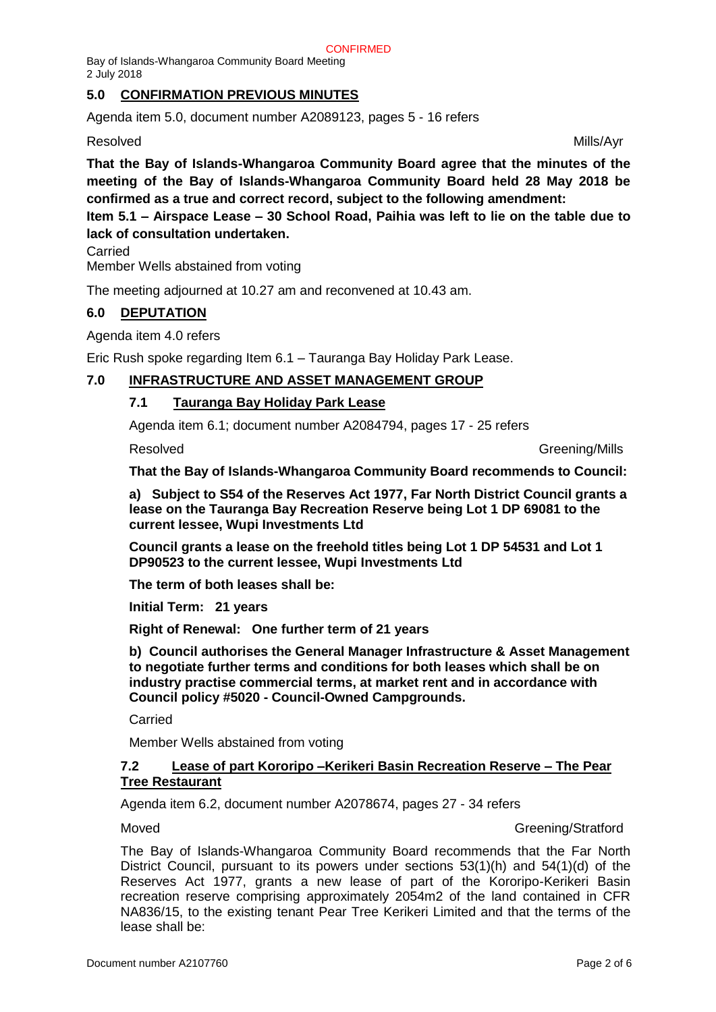## **5.0 CONFIRMATION PREVIOUS MINUTES**

Agenda item 5.0, document number A2089123, pages 5 - 16 refers

## Resolved and the control of the control of the control of the control of the Mills/Ayr

**That the Bay of Islands-Whangaroa Community Board agree that the minutes of the meeting of the Bay of Islands-Whangaroa Community Board held 28 May 2018 be confirmed as a true and correct record, subject to the following amendment:**

**Item 5.1 – Airspace Lease – 30 School Road, Paihia was left to lie on the table due to lack of consultation undertaken.**

Carried

Member Wells abstained from voting

The meeting adjourned at 10.27 am and reconvened at 10.43 am.

## **6.0 DEPUTATION**

Agenda item 4.0 refers

Eric Rush spoke regarding Item 6.1 – Tauranga Bay Holiday Park Lease.

## **7.0 INFRASTRUCTURE AND ASSET MANAGEMENT GROUP**

## **7.1 Tauranga Bay Holiday Park Lease**

Agenda item 6.1; document number A2084794, pages 17 - 25 refers

Resolved **Greening/Mills** 

**That the Bay of Islands-Whangaroa Community Board recommends to Council:**

**a) Subject to S54 of the Reserves Act 1977, Far North District Council grants a lease on the Tauranga Bay Recreation Reserve being Lot 1 DP 69081 to the current lessee, Wupi Investments Ltd**

**Council grants a lease on the freehold titles being Lot 1 DP 54531 and Lot 1 DP90523 to the current lessee, Wupi Investments Ltd**

**The term of both leases shall be:**

**Initial Term: 21 years**

**Right of Renewal: One further term of 21 years**

**b) Council authorises the General Manager Infrastructure & Asset Management to negotiate further terms and conditions for both leases which shall be on industry practise commercial terms, at market rent and in accordance with Council policy #5020 - Council-Owned Campgrounds.**

Carried

Member Wells abstained from voting

## **7.2 Lease of part Kororipo –Kerikeri Basin Recreation Reserve – The Pear Tree Restaurant**

Agenda item 6.2, document number A2078674, pages 27 - 34 refers

Moved Greening/Stratford

The Bay of Islands-Whangaroa Community Board recommends that the Far North District Council, pursuant to its powers under sections 53(1)(h) and 54(1)(d) of the Reserves Act 1977, grants a new lease of part of the Kororipo-Kerikeri Basin recreation reserve comprising approximately 2054m2 of the land contained in CFR NA836/15, to the existing tenant Pear Tree Kerikeri Limited and that the terms of the lease shall be: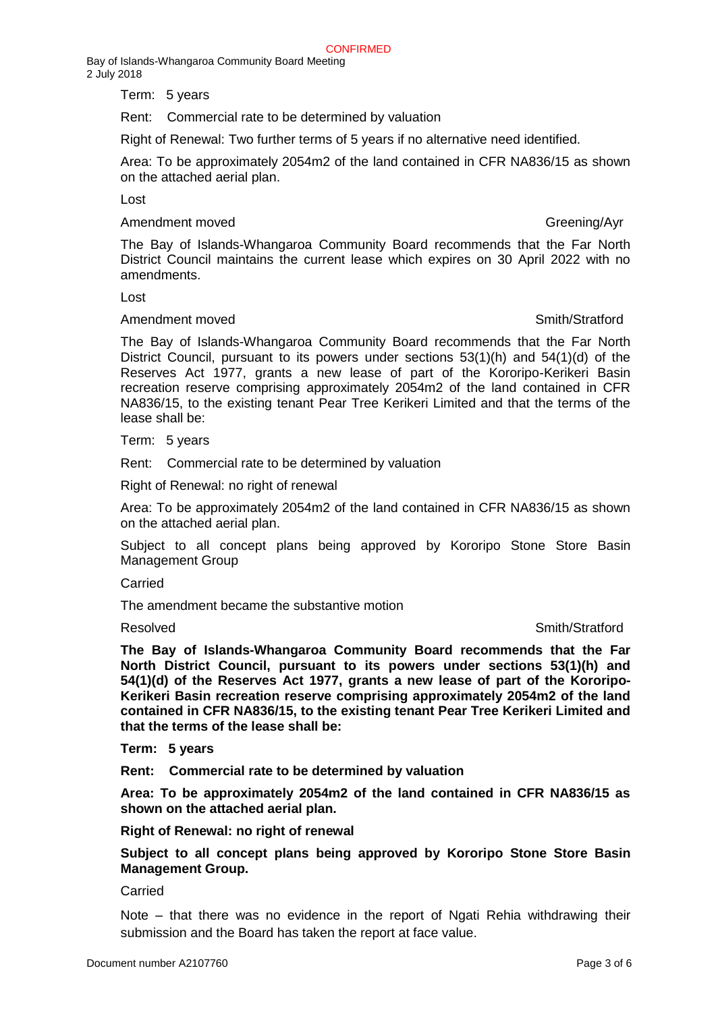Term: 5 years

Rent: Commercial rate to be determined by valuation

Right of Renewal: Two further terms of 5 years if no alternative need identified.

Area: To be approximately 2054m2 of the land contained in CFR NA836/15 as shown on the attached aerial plan.

Lost

Amendment moved **Greening**/Ayr

The Bay of Islands-Whangaroa Community Board recommends that the Far North District Council maintains the current lease which expires on 30 April 2022 with no amendments.

Lost

#### Amendment moved **Smith/Stratford**

The Bay of Islands-Whangaroa Community Board recommends that the Far North District Council, pursuant to its powers under sections 53(1)(h) and 54(1)(d) of the Reserves Act 1977, grants a new lease of part of the Kororipo-Kerikeri Basin recreation reserve comprising approximately 2054m2 of the land contained in CFR NA836/15, to the existing tenant Pear Tree Kerikeri Limited and that the terms of the lease shall be:

Term: 5 years

Rent: Commercial rate to be determined by valuation

Right of Renewal: no right of renewal

Area: To be approximately 2054m2 of the land contained in CFR NA836/15 as shown on the attached aerial plan.

Subject to all concept plans being approved by Kororipo Stone Store Basin Management Group

#### Carried

The amendment became the substantive motion

#### Resolved **Smith/Stratford**

**The Bay of Islands-Whangaroa Community Board recommends that the Far North District Council, pursuant to its powers under sections 53(1)(h) and 54(1)(d) of the Reserves Act 1977, grants a new lease of part of the Kororipo-Kerikeri Basin recreation reserve comprising approximately 2054m2 of the land contained in CFR NA836/15, to the existing tenant Pear Tree Kerikeri Limited and that the terms of the lease shall be:**

**Term: 5 years**

**Rent: Commercial rate to be determined by valuation**

**Area: To be approximately 2054m2 of the land contained in CFR NA836/15 as shown on the attached aerial plan.**

**Right of Renewal: no right of renewal**

**Subject to all concept plans being approved by Kororipo Stone Store Basin Management Group.**

Carried

Note – that there was no evidence in the report of Ngati Rehia withdrawing their submission and the Board has taken the report at face value.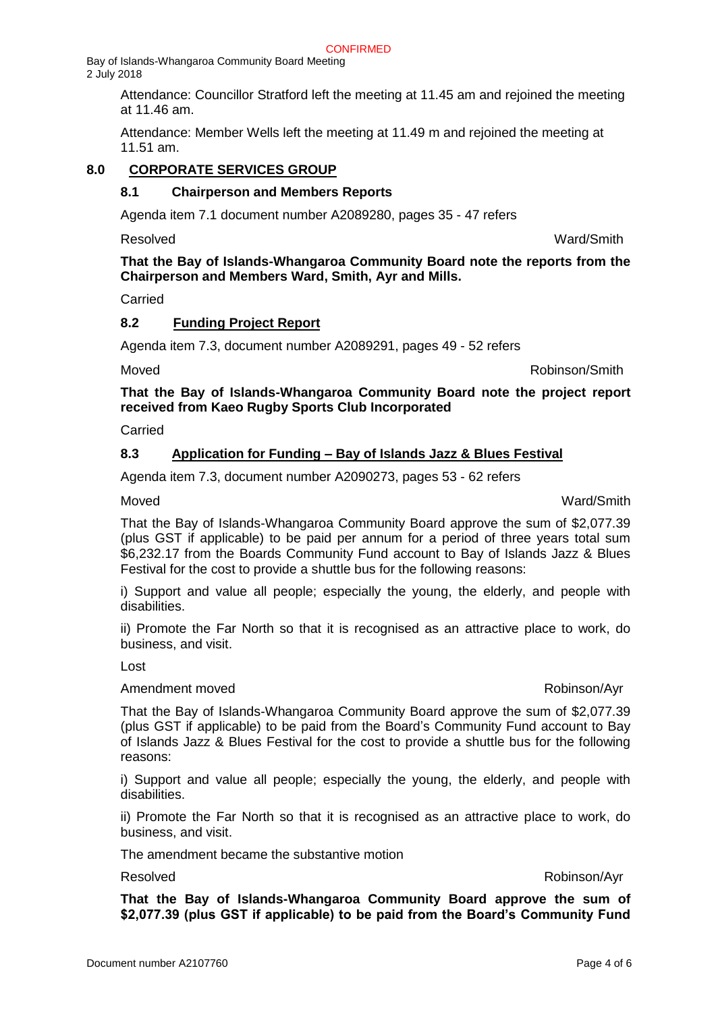> Attendance: Councillor Stratford left the meeting at 11.45 am and rejoined the meeting at 11.46 am.

Attendance: Member Wells left the meeting at 11.49 m and rejoined the meeting at 11.51 am.

## **8.0 CORPORATE SERVICES GROUP**

## **8.1 Chairperson and Members Reports**

Agenda item 7.1 document number A2089280, pages 35 - 47 refers

Resolved Ward/Smith

**That the Bay of Islands-Whangaroa Community Board note the reports from the Chairperson and Members Ward, Smith, Ayr and Mills.**

Carried

## **8.2 Funding Project Report**

Agenda item 7.3, document number A2089291, pages 49 - 52 refers

Moved Robinson/Smith

## **That the Bay of Islands-Whangaroa Community Board note the project report received from Kaeo Rugby Sports Club Incorporated**

Carried

## **8.3 Application for Funding – Bay of Islands Jazz & Blues Festival**

Agenda item 7.3, document number A2090273, pages 53 - 62 refers

Moved Ward/Smith

That the Bay of Islands-Whangaroa Community Board approve the sum of \$2,077.39 (plus GST if applicable) to be paid per annum for a period of three years total sum \$6,232.17 from the Boards Community Fund account to Bay of Islands Jazz & Blues Festival for the cost to provide a shuttle bus for the following reasons:

i) Support and value all people; especially the young, the elderly, and people with disabilities.

ii) Promote the Far North so that it is recognised as an attractive place to work, do business, and visit.

Lost

#### Amendment moved **Amendment moved Robinson**/Ayr

That the Bay of Islands-Whangaroa Community Board approve the sum of \$2,077.39 (plus GST if applicable) to be paid from the Board's Community Fund account to Bay of Islands Jazz & Blues Festival for the cost to provide a shuttle bus for the following reasons:

i) Support and value all people; especially the young, the elderly, and people with disabilities.

ii) Promote the Far North so that it is recognised as an attractive place to work, do business, and visit.

The amendment became the substantive motion

## Resolved Robinson/Ayr

**That the Bay of Islands-Whangaroa Community Board approve the sum of \$2,077.39 (plus GST if applicable) to be paid from the Board's Community Fund**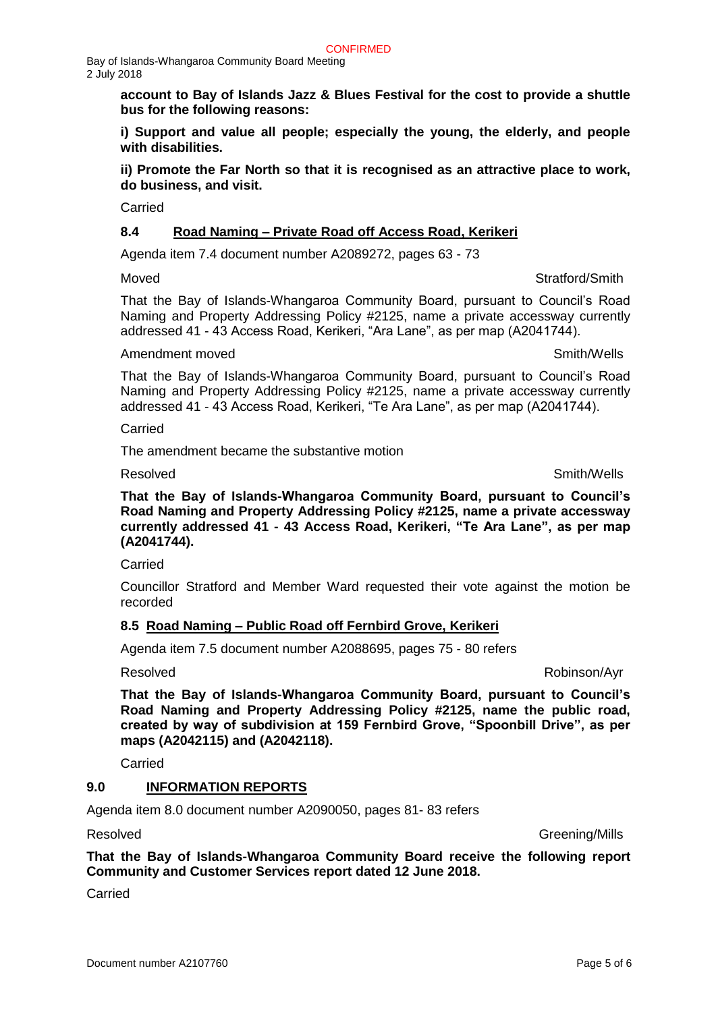> **account to Bay of Islands Jazz & Blues Festival for the cost to provide a shuttle bus for the following reasons:**

> **i) Support and value all people; especially the young, the elderly, and people with disabilities.**

> **ii) Promote the Far North so that it is recognised as an attractive place to work, do business, and visit.**

Carried

## **8.4 Road Naming – Private Road off Access Road, Kerikeri**

Agenda item 7.4 document number A2089272, pages 63 - 73

#### Moved **Stratford/Smith**

That the Bay of Islands-Whangaroa Community Board, pursuant to Council's Road Naming and Property Addressing Policy #2125, name a private accessway currently addressed 41 - 43 Access Road, Kerikeri, "Ara Lane", as per map (A2041744).

## Amendment moved and the state of the state of the Smith/Wells

That the Bay of Islands-Whangaroa Community Board, pursuant to Council's Road Naming and Property Addressing Policy #2125, name a private accessway currently addressed 41 - 43 Access Road, Kerikeri, "Te Ara Lane", as per map (A2041744).

Carried

The amendment became the substantive motion

Resolved **Smith/Wells** 

**That the Bay of Islands-Whangaroa Community Board, pursuant to Council's Road Naming and Property Addressing Policy #2125, name a private accessway currently addressed 41 - 43 Access Road, Kerikeri, "Te Ara Lane", as per map (A2041744).**

Carried

Councillor Stratford and Member Ward requested their vote against the motion be recorded

## **8.5 Road Naming – Public Road off Fernbird Grove, Kerikeri**

Agenda item 7.5 document number A2088695, pages 75 - 80 refers

Resolved Robinson/Ayr

**That the Bay of Islands-Whangaroa Community Board, pursuant to Council's Road Naming and Property Addressing Policy #2125, name the public road, created by way of subdivision at 159 Fernbird Grove, "Spoonbill Drive", as per maps (A2042115) and (A2042118).**

**That the Bay of Islands-Whangaroa Community Board receive the following report** 

Carried

## **9.0 INFORMATION REPORTS**

Agenda item 8.0 document number A2090050, pages 81- 83 refers

**Community and Customer Services report dated 12 June 2018.**

Carried

Resolved **Greening/Mills**